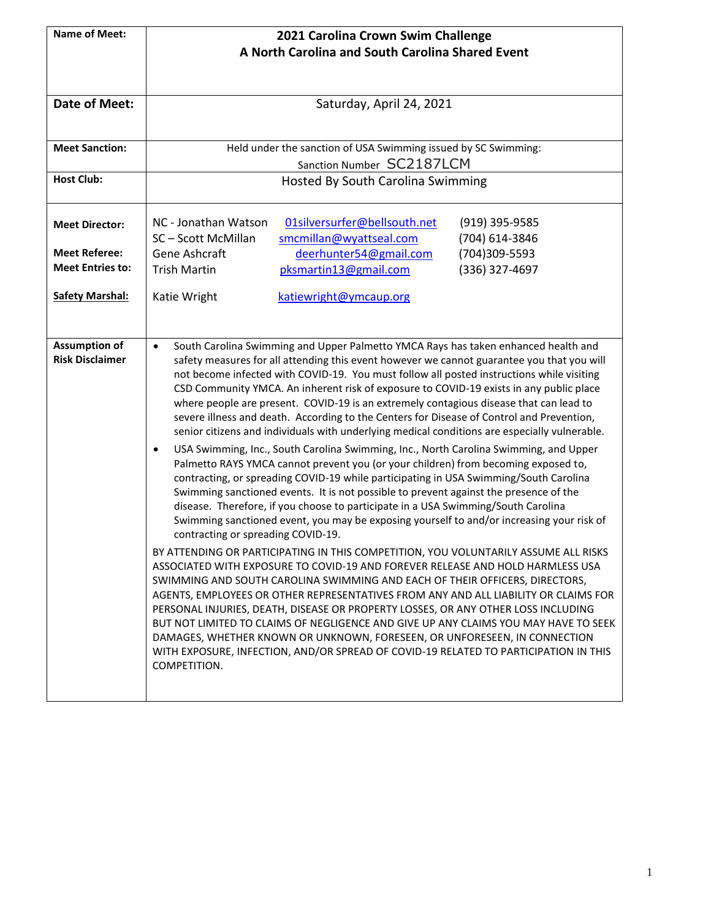| <b>Name of Meet:</b>                                                                | 2021 Carolina Crown Swim Challenge                                                                                                                                                         |  |  |  |  |
|-------------------------------------------------------------------------------------|--------------------------------------------------------------------------------------------------------------------------------------------------------------------------------------------|--|--|--|--|
|                                                                                     | A North Carolina and South Carolina Shared Event                                                                                                                                           |  |  |  |  |
|                                                                                     |                                                                                                                                                                                            |  |  |  |  |
|                                                                                     |                                                                                                                                                                                            |  |  |  |  |
| Date of Meet:                                                                       | Saturday, April 24, 2021                                                                                                                                                                   |  |  |  |  |
|                                                                                     |                                                                                                                                                                                            |  |  |  |  |
| <b>Meet Sanction:</b>                                                               |                                                                                                                                                                                            |  |  |  |  |
|                                                                                     | Held under the sanction of USA Swimming issued by SC Swimming:<br>Sanction Number SC2187LCM                                                                                                |  |  |  |  |
| <b>Host Club:</b>                                                                   | Hosted By South Carolina Swimming                                                                                                                                                          |  |  |  |  |
|                                                                                     |                                                                                                                                                                                            |  |  |  |  |
|                                                                                     |                                                                                                                                                                                            |  |  |  |  |
| <b>Meet Director:</b>                                                               | 01silversurfer@bellsouth.net<br>NC - Jonathan Watson<br>(919) 395-9585                                                                                                                     |  |  |  |  |
|                                                                                     | SC-Scott McMillan<br>smcmillan@wyattseal.com<br>(704) 614-3846                                                                                                                             |  |  |  |  |
| <b>Meet Referee:</b><br><b>Meet Entries to:</b>                                     | Gene Ashcraft<br>(704)309-5593<br>deerhunter54@gmail.com                                                                                                                                   |  |  |  |  |
|                                                                                     | pksmartin13@gmail.com<br>(336) 327-4697<br><b>Trish Martin</b>                                                                                                                             |  |  |  |  |
| <b>Safety Marshal:</b>                                                              | Katie Wright<br>katiewright@ymcaup.org                                                                                                                                                     |  |  |  |  |
|                                                                                     |                                                                                                                                                                                            |  |  |  |  |
|                                                                                     |                                                                                                                                                                                            |  |  |  |  |
| <b>Assumption of</b>                                                                | South Carolina Swimming and Upper Palmetto YMCA Rays has taken enhanced health and<br>$\bullet$                                                                                            |  |  |  |  |
| <b>Risk Disclaimer</b>                                                              | safety measures for all attending this event however we cannot guarantee you that you will                                                                                                 |  |  |  |  |
|                                                                                     | not become infected with COVID-19. You must follow all posted instructions while visiting                                                                                                  |  |  |  |  |
|                                                                                     | CSD Community YMCA. An inherent risk of exposure to COVID-19 exists in any public place                                                                                                    |  |  |  |  |
|                                                                                     | where people are present. COVID-19 is an extremely contagious disease that can lead to                                                                                                     |  |  |  |  |
|                                                                                     | severe illness and death. According to the Centers for Disease of Control and Prevention,<br>senior citizens and individuals with underlying medical conditions are especially vulnerable. |  |  |  |  |
|                                                                                     | USA Swimming, Inc., South Carolina Swimming, Inc., North Carolina Swimming, and Upper                                                                                                      |  |  |  |  |
|                                                                                     | $\bullet$<br>Palmetto RAYS YMCA cannot prevent you (or your children) from becoming exposed to,                                                                                            |  |  |  |  |
|                                                                                     | contracting, or spreading COVID-19 while participating in USA Swimming/South Carolina                                                                                                      |  |  |  |  |
|                                                                                     | Swimming sanctioned events. It is not possible to prevent against the presence of the                                                                                                      |  |  |  |  |
|                                                                                     | disease. Therefore, if you choose to participate in a USA Swimming/South Carolina                                                                                                          |  |  |  |  |
|                                                                                     | Swimming sanctioned event, you may be exposing yourself to and/or increasing your risk of                                                                                                  |  |  |  |  |
|                                                                                     | contracting or spreading COVID-19.                                                                                                                                                         |  |  |  |  |
|                                                                                     | BY ATTENDING OR PARTICIPATING IN THIS COMPETITION, YOU VOLUNTARILY ASSUME ALL RISKS<br>ASSOCIATED WITH EXPOSURE TO COVID-19 AND FOREVER RELEASE AND HOLD HARMLESS USA                      |  |  |  |  |
|                                                                                     |                                                                                                                                                                                            |  |  |  |  |
|                                                                                     | SWIMMING AND SOUTH CAROLINA SWIMMING AND EACH OF THEIR OFFICERS, DIRECTORS,<br>AGENTS, EMPLOYEES OR OTHER REPRESENTATIVES FROM ANY AND ALL LIABILITY OR CLAIMS FOR                         |  |  |  |  |
|                                                                                     | PERSONAL INJURIES, DEATH, DISEASE OR PROPERTY LOSSES, OR ANY OTHER LOSS INCLUDING                                                                                                          |  |  |  |  |
| BUT NOT LIMITED TO CLAIMS OF NEGLIGENCE AND GIVE UP ANY CLAIMS YOU MAY HAVE TO SEEK |                                                                                                                                                                                            |  |  |  |  |
|                                                                                     | DAMAGES, WHETHER KNOWN OR UNKNOWN, FORESEEN, OR UNFORESEEN, IN CONNECTION                                                                                                                  |  |  |  |  |
|                                                                                     | WITH EXPOSURE, INFECTION, AND/OR SPREAD OF COVID-19 RELATED TO PARTICIPATION IN THIS                                                                                                       |  |  |  |  |
|                                                                                     | COMPETITION.                                                                                                                                                                               |  |  |  |  |
|                                                                                     |                                                                                                                                                                                            |  |  |  |  |
|                                                                                     |                                                                                                                                                                                            |  |  |  |  |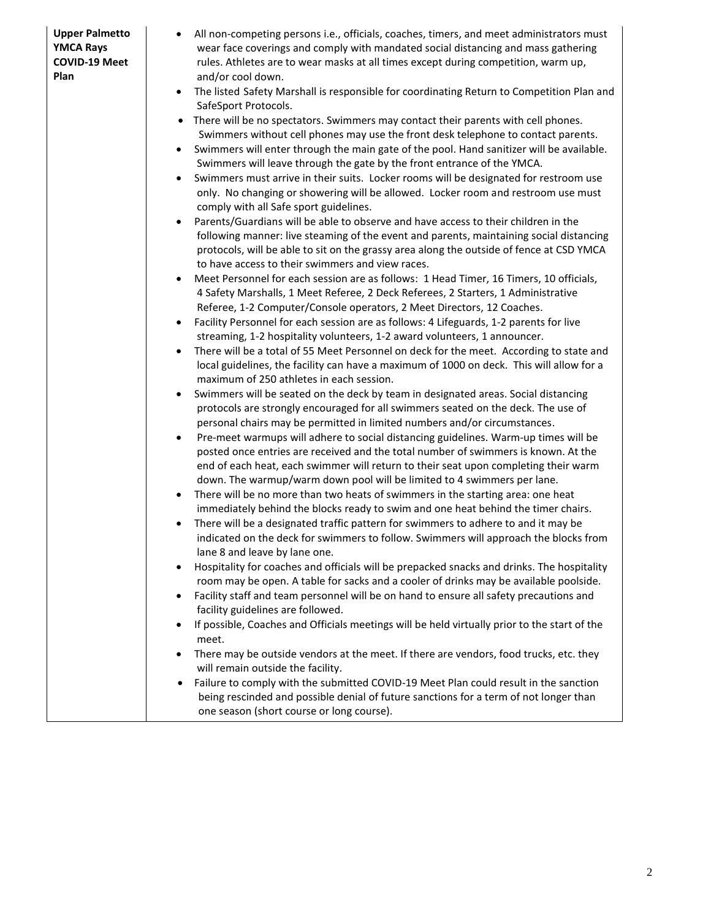- All non-competing persons i.e., officials, coaches, timers, and meet administrators must wear face coverings and comply with mandated social distancing and mass gathering rules. Athletes are to wear masks at all times except during competition, warm up, and/or cool down.
- The listed Safety Marshall is responsible for coordinating Return to Competition Plan and SafeSport Protocols.
- There will be no spectators. Swimmers may contact their parents with cell phones. Swimmers without cell phones may use the front desk telephone to contact parents.
- Swimmers will enter through the main gate of the pool. Hand sanitizer will be available. Swimmers will leave through the gate by the front entrance of the YMCA.
- Swimmers must arrive in their suits. Locker rooms will be designated for restroom use only. No changing or showering will be allowed. Locker room and restroom use must comply with all Safe sport guidelines.
- Parents/Guardians will be able to observe and have access to their children in the following manner: live steaming of the event and parents, maintaining social distancing protocols, will be able to sit on the grassy area along the outside of fence at CSD YMCA to have access to their swimmers and view races.
- Meet Personnel for each session are as follows: 1 Head Timer, 16 Timers, 10 officials, 4 Safety Marshalls, 1 Meet Referee, 2 Deck Referees, 2 Starters, 1 Administrative Referee, 1-2 Computer/Console operators, 2 Meet Directors, 12 Coaches.
- Facility Personnel for each session are as follows: 4 Lifeguards, 1-2 parents for live streaming, 1-2 hospitality volunteers, 1-2 award volunteers, 1 announcer.
- There will be a total of 55 Meet Personnel on deck for the meet. According to state and local guidelines, the facility can have a maximum of 1000 on deck. This will allow for a maximum of 250 athletes in each session.
- Swimmers will be seated on the deck by team in designated areas. Social distancing protocols are strongly encouraged for all swimmers seated on the deck. The use of personal chairs may be permitted in limited numbers and/or circumstances.
- Pre-meet warmups will adhere to social distancing guidelines. Warm-up times will be posted once entries are received and the total number of swimmers is known. At the end of each heat, each swimmer will return to their seat upon completing their warm down. The warmup/warm down pool will be limited to 4 swimmers per lane.
- There will be no more than two heats of swimmers in the starting area: one heat immediately behind the blocks ready to swim and one heat behind the timer chairs.
- There will be a designated traffic pattern for swimmers to adhere to and it may be indicated on the deck for swimmers to follow. Swimmers will approach the blocks from lane 8 and leave by lane one.
- Hospitality for coaches and officials will be prepacked snacks and drinks. The hospitality room may be open. A table for sacks and a cooler of drinks may be available poolside.
- Facility staff and team personnel will be on hand to ensure all safety precautions and facility guidelines are followed.
- If possible, Coaches and Officials meetings will be held virtually prior to the start of the meet.
- There may be outside vendors at the meet. If there are vendors, food trucks, etc. they will remain outside the facility.
- Failure to comply with the submitted COVID-19 Meet Plan could result in the sanction being rescinded and possible denial of future sanctions for a term of not longer than one season (short course or long course).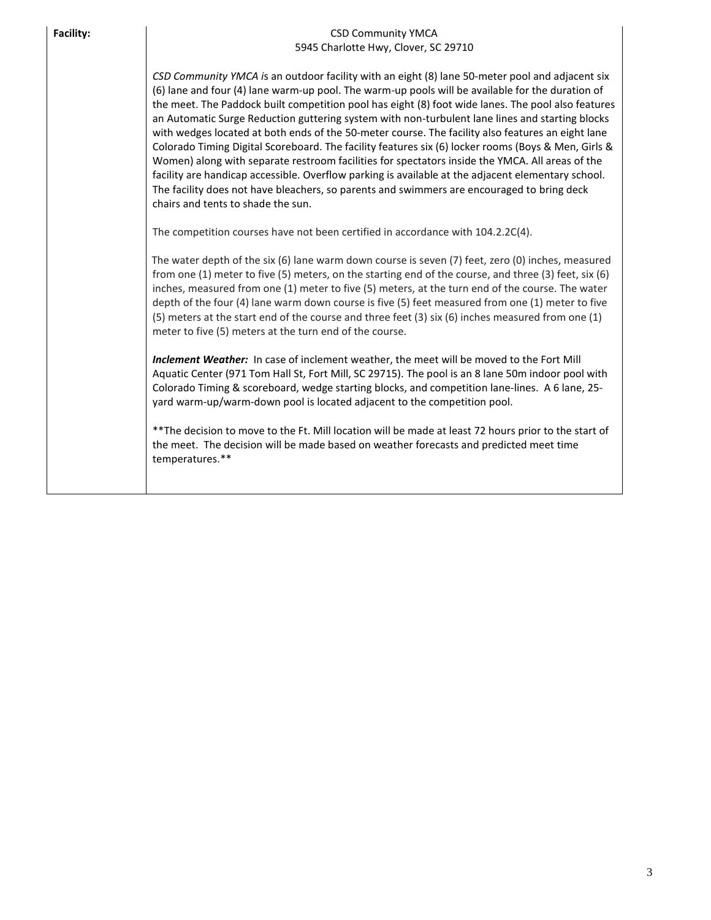| <b>Facility:</b> | <b>CSD Community YMCA</b><br>5945 Charlotte Hwy, Clover, SC 29710                                                                                                                                                                                                                                                                                                                                                                                                                                                                                                                                                                                                                                                                                                                                                                                                                                                                                                     |
|------------------|-----------------------------------------------------------------------------------------------------------------------------------------------------------------------------------------------------------------------------------------------------------------------------------------------------------------------------------------------------------------------------------------------------------------------------------------------------------------------------------------------------------------------------------------------------------------------------------------------------------------------------------------------------------------------------------------------------------------------------------------------------------------------------------------------------------------------------------------------------------------------------------------------------------------------------------------------------------------------|
|                  | CSD Community YMCA is an outdoor facility with an eight (8) lane 50-meter pool and adjacent six<br>(6) lane and four (4) lane warm-up pool. The warm-up pools will be available for the duration of<br>the meet. The Paddock built competition pool has eight (8) foot wide lanes. The pool also features<br>an Automatic Surge Reduction guttering system with non-turbulent lane lines and starting blocks<br>with wedges located at both ends of the 50-meter course. The facility also features an eight lane<br>Colorado Timing Digital Scoreboard. The facility features six (6) locker rooms (Boys & Men, Girls &<br>Women) along with separate restroom facilities for spectators inside the YMCA. All areas of the<br>facility are handicap accessible. Overflow parking is available at the adjacent elementary school.<br>The facility does not have bleachers, so parents and swimmers are encouraged to bring deck<br>chairs and tents to shade the sun. |
|                  | The competition courses have not been certified in accordance with 104.2.2C(4).                                                                                                                                                                                                                                                                                                                                                                                                                                                                                                                                                                                                                                                                                                                                                                                                                                                                                       |
|                  | The water depth of the six (6) lane warm down course is seven (7) feet, zero (0) inches, measured<br>from one (1) meter to five (5) meters, on the starting end of the course, and three (3) feet, six (6)<br>inches, measured from one (1) meter to five (5) meters, at the turn end of the course. The water<br>depth of the four (4) lane warm down course is five (5) feet measured from one (1) meter to five<br>(5) meters at the start end of the course and three feet (3) six (6) inches measured from one (1)<br>meter to five (5) meters at the turn end of the course.                                                                                                                                                                                                                                                                                                                                                                                    |
|                  | Inclement Weather: In case of inclement weather, the meet will be moved to the Fort Mill<br>Aquatic Center (971 Tom Hall St, Fort Mill, SC 29715). The pool is an 8 lane 50m indoor pool with<br>Colorado Timing & scoreboard, wedge starting blocks, and competition lane-lines. A 6 lane, 25-<br>yard warm-up/warm-down pool is located adjacent to the competition pool.                                                                                                                                                                                                                                                                                                                                                                                                                                                                                                                                                                                           |
|                  | ** The decision to move to the Ft. Mill location will be made at least 72 hours prior to the start of<br>the meet. The decision will be made based on weather forecasts and predicted meet time<br>temperatures.**                                                                                                                                                                                                                                                                                                                                                                                                                                                                                                                                                                                                                                                                                                                                                    |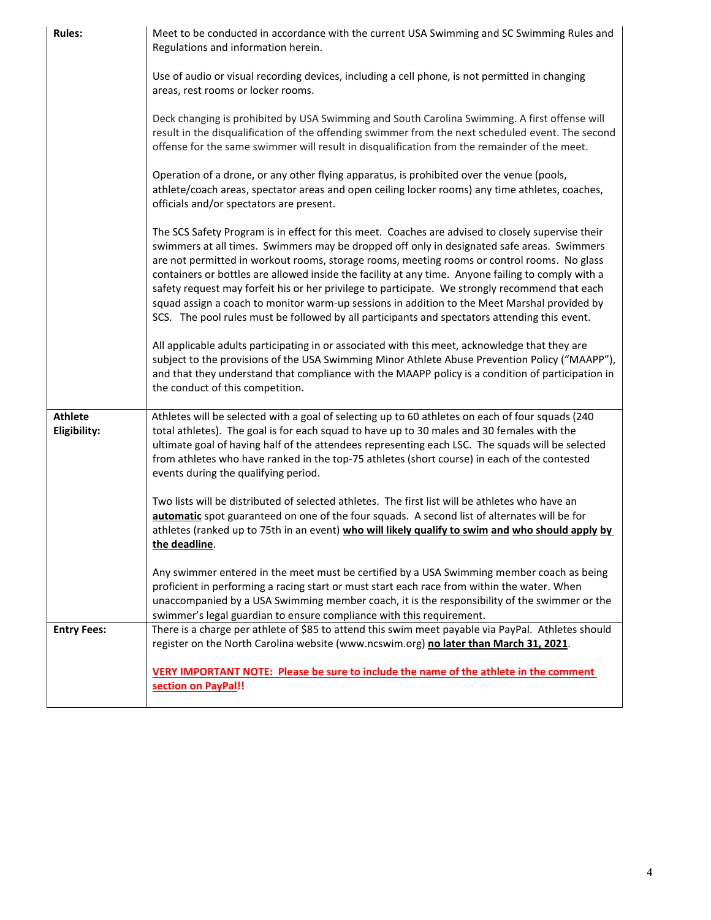| <b>Rules:</b>                  | Meet to be conducted in accordance with the current USA Swimming and SC Swimming Rules and<br>Regulations and information herein.                                                                                                                                                                                                                                                                                                                                                                                                                                                                                                                                                                                                                                                                                                                                                                                                                                                                                                                     |
|--------------------------------|-------------------------------------------------------------------------------------------------------------------------------------------------------------------------------------------------------------------------------------------------------------------------------------------------------------------------------------------------------------------------------------------------------------------------------------------------------------------------------------------------------------------------------------------------------------------------------------------------------------------------------------------------------------------------------------------------------------------------------------------------------------------------------------------------------------------------------------------------------------------------------------------------------------------------------------------------------------------------------------------------------------------------------------------------------|
|                                | Use of audio or visual recording devices, including a cell phone, is not permitted in changing<br>areas, rest rooms or locker rooms.                                                                                                                                                                                                                                                                                                                                                                                                                                                                                                                                                                                                                                                                                                                                                                                                                                                                                                                  |
|                                | Deck changing is prohibited by USA Swimming and South Carolina Swimming. A first offense will<br>result in the disqualification of the offending swimmer from the next scheduled event. The second<br>offense for the same swimmer will result in disqualification from the remainder of the meet.                                                                                                                                                                                                                                                                                                                                                                                                                                                                                                                                                                                                                                                                                                                                                    |
|                                | Operation of a drone, or any other flying apparatus, is prohibited over the venue (pools,<br>athlete/coach areas, spectator areas and open ceiling locker rooms) any time athletes, coaches,<br>officials and/or spectators are present.                                                                                                                                                                                                                                                                                                                                                                                                                                                                                                                                                                                                                                                                                                                                                                                                              |
|                                | The SCS Safety Program is in effect for this meet. Coaches are advised to closely supervise their<br>swimmers at all times. Swimmers may be dropped off only in designated safe areas. Swimmers<br>are not permitted in workout rooms, storage rooms, meeting rooms or control rooms. No glass<br>containers or bottles are allowed inside the facility at any time. Anyone failing to comply with a<br>safety request may forfeit his or her privilege to participate. We strongly recommend that each<br>squad assign a coach to monitor warm-up sessions in addition to the Meet Marshal provided by<br>SCS. The pool rules must be followed by all participants and spectators attending this event.<br>All applicable adults participating in or associated with this meet, acknowledge that they are<br>subject to the provisions of the USA Swimming Minor Athlete Abuse Prevention Policy ("MAAPP"),<br>and that they understand that compliance with the MAAPP policy is a condition of participation in<br>the conduct of this competition. |
| <b>Athlete</b><br>Eligibility: | Athletes will be selected with a goal of selecting up to 60 athletes on each of four squads (240<br>total athletes). The goal is for each squad to have up to 30 males and 30 females with the<br>ultimate goal of having half of the attendees representing each LSC. The squads will be selected<br>from athletes who have ranked in the top-75 athletes (short course) in each of the contested<br>events during the qualifying period.                                                                                                                                                                                                                                                                                                                                                                                                                                                                                                                                                                                                            |
|                                | Two lists will be distributed of selected athletes. The first list will be athletes who have an<br>automatic spot guaranteed on one of the four squads. A second list of alternates will be for<br>athletes (ranked up to 75th in an event) who will likely qualify to swim and who should apply by<br>the deadline.                                                                                                                                                                                                                                                                                                                                                                                                                                                                                                                                                                                                                                                                                                                                  |
|                                | Any swimmer entered in the meet must be certified by a USA Swimming member coach as being<br>proficient in performing a racing start or must start each race from within the water. When<br>unaccompanied by a USA Swimming member coach, it is the responsibility of the swimmer or the<br>swimmer's legal guardian to ensure compliance with this requirement.                                                                                                                                                                                                                                                                                                                                                                                                                                                                                                                                                                                                                                                                                      |
| <b>Entry Fees:</b>             | There is a charge per athlete of \$85 to attend this swim meet payable via PayPal. Athletes should<br>register on the North Carolina website (www.ncswim.org) no later than March 31, 2021.                                                                                                                                                                                                                                                                                                                                                                                                                                                                                                                                                                                                                                                                                                                                                                                                                                                           |
|                                | VERY IMPORTANT NOTE: Please be sure to include the name of the athlete in the comment                                                                                                                                                                                                                                                                                                                                                                                                                                                                                                                                                                                                                                                                                                                                                                                                                                                                                                                                                                 |
|                                | section on PayPal!!                                                                                                                                                                                                                                                                                                                                                                                                                                                                                                                                                                                                                                                                                                                                                                                                                                                                                                                                                                                                                                   |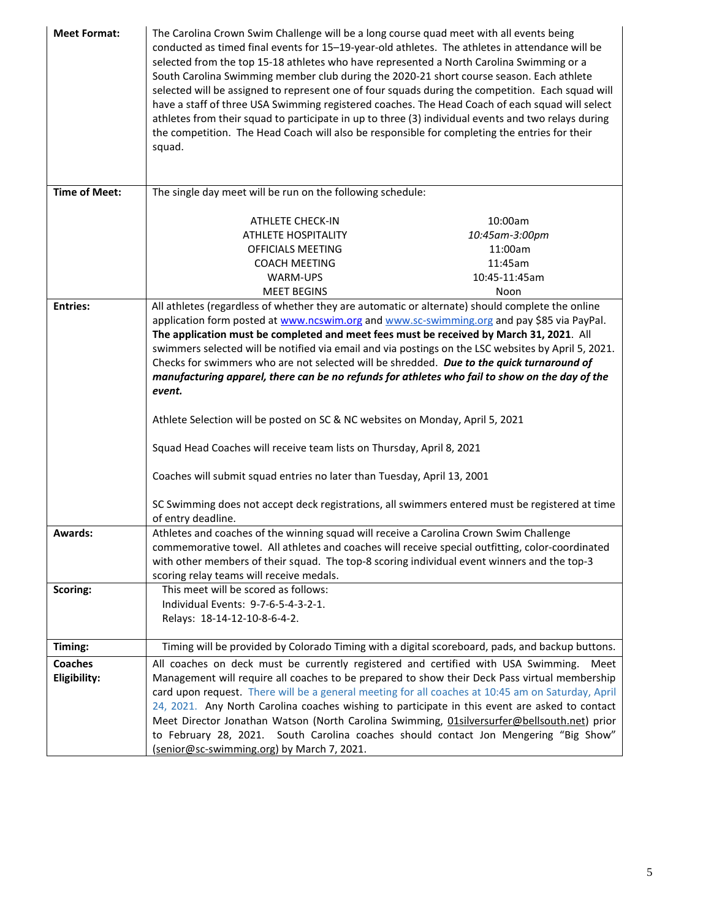| <b>Meet Format:</b>  | The Carolina Crown Swim Challenge will be a long course quad meet with all events being<br>conducted as timed final events for 15-19-year-old athletes. The athletes in attendance will be<br>selected from the top 15-18 athletes who have represented a North Carolina Swimming or a<br>South Carolina Swimming member club during the 2020-21 short course season. Each athlete<br>selected will be assigned to represent one of four squads during the competition. Each squad will<br>have a staff of three USA Swimming registered coaches. The Head Coach of each squad will select<br>athletes from their squad to participate in up to three (3) individual events and two relays during<br>the competition. The Head Coach will also be responsible for completing the entries for their<br>squad. |                                                            |  |  |  |
|----------------------|--------------------------------------------------------------------------------------------------------------------------------------------------------------------------------------------------------------------------------------------------------------------------------------------------------------------------------------------------------------------------------------------------------------------------------------------------------------------------------------------------------------------------------------------------------------------------------------------------------------------------------------------------------------------------------------------------------------------------------------------------------------------------------------------------------------|------------------------------------------------------------|--|--|--|
| <b>Time of Meet:</b> |                                                                                                                                                                                                                                                                                                                                                                                                                                                                                                                                                                                                                                                                                                                                                                                                              | The single day meet will be run on the following schedule: |  |  |  |
|                      | <b>ATHLETE CHECK-IN</b>                                                                                                                                                                                                                                                                                                                                                                                                                                                                                                                                                                                                                                                                                                                                                                                      | 10:00am                                                    |  |  |  |
|                      | ATHLETE HOSPITALITY                                                                                                                                                                                                                                                                                                                                                                                                                                                                                                                                                                                                                                                                                                                                                                                          | 10:45am-3:00pm                                             |  |  |  |
|                      | OFFICIALS MEETING                                                                                                                                                                                                                                                                                                                                                                                                                                                                                                                                                                                                                                                                                                                                                                                            | 11:00am                                                    |  |  |  |
|                      | <b>COACH MEETING</b>                                                                                                                                                                                                                                                                                                                                                                                                                                                                                                                                                                                                                                                                                                                                                                                         | 11:45am                                                    |  |  |  |
|                      | WARM-UPS                                                                                                                                                                                                                                                                                                                                                                                                                                                                                                                                                                                                                                                                                                                                                                                                     | 10:45-11:45am                                              |  |  |  |
|                      | <b>MEET BEGINS</b>                                                                                                                                                                                                                                                                                                                                                                                                                                                                                                                                                                                                                                                                                                                                                                                           | Noon                                                       |  |  |  |
| <b>Entries:</b>      | All athletes (regardless of whether they are automatic or alternate) should complete the online                                                                                                                                                                                                                                                                                                                                                                                                                                                                                                                                                                                                                                                                                                              |                                                            |  |  |  |
|                      | application form posted at www.ncswim.org and www.sc-swimming.org and pay \$85 via PayPal.                                                                                                                                                                                                                                                                                                                                                                                                                                                                                                                                                                                                                                                                                                                   |                                                            |  |  |  |
|                      | The application must be completed and meet fees must be received by March 31, 2021. All                                                                                                                                                                                                                                                                                                                                                                                                                                                                                                                                                                                                                                                                                                                      |                                                            |  |  |  |
|                      | swimmers selected will be notified via email and via postings on the LSC websites by April 5, 2021.                                                                                                                                                                                                                                                                                                                                                                                                                                                                                                                                                                                                                                                                                                          |                                                            |  |  |  |
|                      | Checks for swimmers who are not selected will be shredded. Due to the quick turnaround of                                                                                                                                                                                                                                                                                                                                                                                                                                                                                                                                                                                                                                                                                                                    |                                                            |  |  |  |
|                      | manufacturing apparel, there can be no refunds for athletes who fail to show on the day of the                                                                                                                                                                                                                                                                                                                                                                                                                                                                                                                                                                                                                                                                                                               |                                                            |  |  |  |
|                      | event.                                                                                                                                                                                                                                                                                                                                                                                                                                                                                                                                                                                                                                                                                                                                                                                                       |                                                            |  |  |  |
|                      |                                                                                                                                                                                                                                                                                                                                                                                                                                                                                                                                                                                                                                                                                                                                                                                                              |                                                            |  |  |  |
|                      | Athlete Selection will be posted on SC & NC websites on Monday, April 5, 2021                                                                                                                                                                                                                                                                                                                                                                                                                                                                                                                                                                                                                                                                                                                                |                                                            |  |  |  |
|                      | Squad Head Coaches will receive team lists on Thursday, April 8, 2021                                                                                                                                                                                                                                                                                                                                                                                                                                                                                                                                                                                                                                                                                                                                        |                                                            |  |  |  |
|                      | Coaches will submit squad entries no later than Tuesday, April 13, 2001                                                                                                                                                                                                                                                                                                                                                                                                                                                                                                                                                                                                                                                                                                                                      |                                                            |  |  |  |
|                      | SC Swimming does not accept deck registrations, all swimmers entered must be registered at time<br>of entry deadline.                                                                                                                                                                                                                                                                                                                                                                                                                                                                                                                                                                                                                                                                                        |                                                            |  |  |  |
| Awards:              | Athletes and coaches of the winning squad will receive a Carolina Crown Swim Challenge                                                                                                                                                                                                                                                                                                                                                                                                                                                                                                                                                                                                                                                                                                                       |                                                            |  |  |  |
|                      | commemorative towel. All athletes and coaches will receive special outfitting, color-coordinated                                                                                                                                                                                                                                                                                                                                                                                                                                                                                                                                                                                                                                                                                                             |                                                            |  |  |  |
|                      | with other members of their squad. The top-8 scoring individual event winners and the top-3                                                                                                                                                                                                                                                                                                                                                                                                                                                                                                                                                                                                                                                                                                                  |                                                            |  |  |  |
|                      | scoring relay teams will receive medals.                                                                                                                                                                                                                                                                                                                                                                                                                                                                                                                                                                                                                                                                                                                                                                     |                                                            |  |  |  |
| Scoring:             | This meet will be scored as follows:                                                                                                                                                                                                                                                                                                                                                                                                                                                                                                                                                                                                                                                                                                                                                                         |                                                            |  |  |  |
|                      | Individual Events: 9-7-6-5-4-3-2-1.                                                                                                                                                                                                                                                                                                                                                                                                                                                                                                                                                                                                                                                                                                                                                                          |                                                            |  |  |  |
|                      | Relays: 18-14-12-10-8-6-4-2.                                                                                                                                                                                                                                                                                                                                                                                                                                                                                                                                                                                                                                                                                                                                                                                 |                                                            |  |  |  |
|                      |                                                                                                                                                                                                                                                                                                                                                                                                                                                                                                                                                                                                                                                                                                                                                                                                              |                                                            |  |  |  |
| Timing:              | Timing will be provided by Colorado Timing with a digital scoreboard, pads, and backup buttons.                                                                                                                                                                                                                                                                                                                                                                                                                                                                                                                                                                                                                                                                                                              |                                                            |  |  |  |
| <b>Coaches</b>       | All coaches on deck must be currently registered and certified with USA Swimming.                                                                                                                                                                                                                                                                                                                                                                                                                                                                                                                                                                                                                                                                                                                            | Meet                                                       |  |  |  |
| Eligibility:         | Management will require all coaches to be prepared to show their Deck Pass virtual membership                                                                                                                                                                                                                                                                                                                                                                                                                                                                                                                                                                                                                                                                                                                |                                                            |  |  |  |
|                      | card upon request. There will be a general meeting for all coaches at 10:45 am on Saturday, April                                                                                                                                                                                                                                                                                                                                                                                                                                                                                                                                                                                                                                                                                                            |                                                            |  |  |  |
|                      | 24, 2021. Any North Carolina coaches wishing to participate in this event are asked to contact                                                                                                                                                                                                                                                                                                                                                                                                                                                                                                                                                                                                                                                                                                               |                                                            |  |  |  |
|                      | Meet Director Jonathan Watson (North Carolina Swimming, 01silversurfer@bellsouth.net) prior                                                                                                                                                                                                                                                                                                                                                                                                                                                                                                                                                                                                                                                                                                                  |                                                            |  |  |  |
|                      | to February 28, 2021. South Carolina coaches should contact Jon Mengering "Big Show"                                                                                                                                                                                                                                                                                                                                                                                                                                                                                                                                                                                                                                                                                                                         |                                                            |  |  |  |
|                      | (senior@sc-swimming.org) by March 7, 2021.                                                                                                                                                                                                                                                                                                                                                                                                                                                                                                                                                                                                                                                                                                                                                                   |                                                            |  |  |  |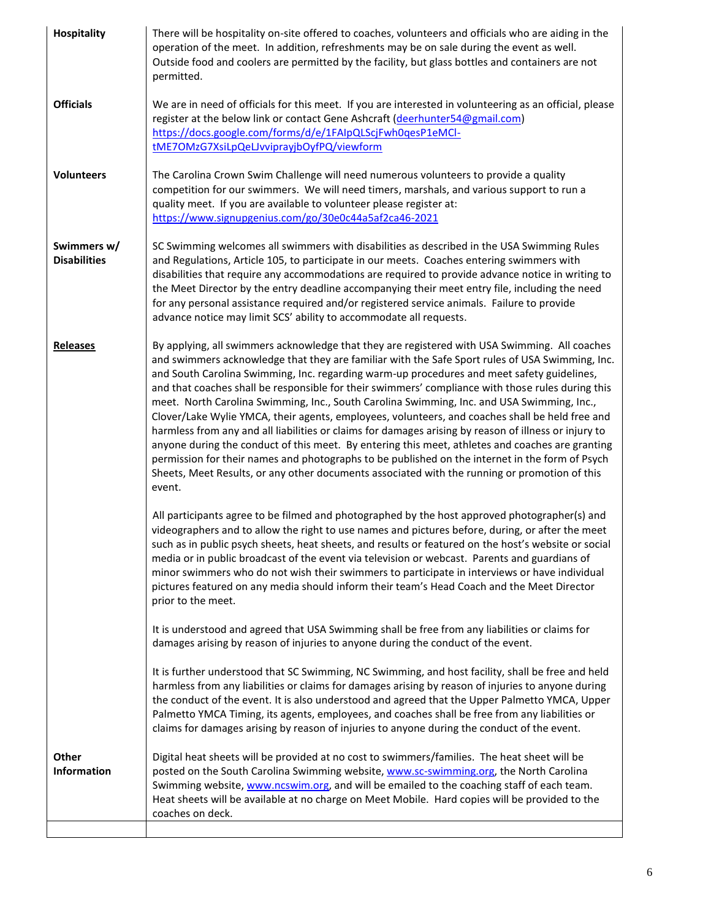| <b>Hospitality</b>                 | There will be hospitality on-site offered to coaches, volunteers and officials who are aiding in the<br>operation of the meet. In addition, refreshments may be on sale during the event as well.<br>Outside food and coolers are permitted by the facility, but glass bottles and containers are not<br>permitted.                                                                                                                                                                                                                                                                                                                                                                                                                                                                                                                                                                                                                                                                                                             |
|------------------------------------|---------------------------------------------------------------------------------------------------------------------------------------------------------------------------------------------------------------------------------------------------------------------------------------------------------------------------------------------------------------------------------------------------------------------------------------------------------------------------------------------------------------------------------------------------------------------------------------------------------------------------------------------------------------------------------------------------------------------------------------------------------------------------------------------------------------------------------------------------------------------------------------------------------------------------------------------------------------------------------------------------------------------------------|
| <b>Officials</b>                   | We are in need of officials for this meet. If you are interested in volunteering as an official, please<br>register at the below link or contact Gene Ashcraft (deerhunter54@gmail.com)<br>https://docs.google.com/forms/d/e/1FAIpQLScjFwh0qesP1eMCl-<br>tME7OMzG7XsiLpQeLJvviprayjbOyfPQ/viewform                                                                                                                                                                                                                                                                                                                                                                                                                                                                                                                                                                                                                                                                                                                              |
| <b>Volunteers</b>                  | The Carolina Crown Swim Challenge will need numerous volunteers to provide a quality<br>competition for our swimmers. We will need timers, marshals, and various support to run a<br>quality meet. If you are available to volunteer please register at:<br>https://www.signupgenius.com/go/30e0c44a5af2ca46-2021                                                                                                                                                                                                                                                                                                                                                                                                                                                                                                                                                                                                                                                                                                               |
| Swimmers w/<br><b>Disabilities</b> | SC Swimming welcomes all swimmers with disabilities as described in the USA Swimming Rules<br>and Regulations, Article 105, to participate in our meets. Coaches entering swimmers with<br>disabilities that require any accommodations are required to provide advance notice in writing to<br>the Meet Director by the entry deadline accompanying their meet entry file, including the need<br>for any personal assistance required and/or registered service animals. Failure to provide<br>advance notice may limit SCS' ability to accommodate all requests.                                                                                                                                                                                                                                                                                                                                                                                                                                                              |
| <b>Releases</b>                    | By applying, all swimmers acknowledge that they are registered with USA Swimming. All coaches<br>and swimmers acknowledge that they are familiar with the Safe Sport rules of USA Swimming, Inc.<br>and South Carolina Swimming, Inc. regarding warm-up procedures and meet safety guidelines,<br>and that coaches shall be responsible for their swimmers' compliance with those rules during this<br>meet. North Carolina Swimming, Inc., South Carolina Swimming, Inc. and USA Swimming, Inc.,<br>Clover/Lake Wylie YMCA, their agents, employees, volunteers, and coaches shall be held free and<br>harmless from any and all liabilities or claims for damages arising by reason of illness or injury to<br>anyone during the conduct of this meet. By entering this meet, athletes and coaches are granting<br>permission for their names and photographs to be published on the internet in the form of Psych<br>Sheets, Meet Results, or any other documents associated with the running or promotion of this<br>event. |
|                                    | All participants agree to be filmed and photographed by the host approved photographer(s) and<br>videographers and to allow the right to use names and pictures before, during, or after the meet<br>such as in public psych sheets, heat sheets, and results or featured on the host's website or social<br>media or in public broadcast of the event via television or webcast. Parents and guardians of<br>minor swimmers who do not wish their swimmers to participate in interviews or have individual<br>pictures featured on any media should inform their team's Head Coach and the Meet Director<br>prior to the meet.                                                                                                                                                                                                                                                                                                                                                                                                 |
|                                    | It is understood and agreed that USA Swimming shall be free from any liabilities or claims for<br>damages arising by reason of injuries to anyone during the conduct of the event.                                                                                                                                                                                                                                                                                                                                                                                                                                                                                                                                                                                                                                                                                                                                                                                                                                              |
|                                    | It is further understood that SC Swimming, NC Swimming, and host facility, shall be free and held<br>harmless from any liabilities or claims for damages arising by reason of injuries to anyone during<br>the conduct of the event. It is also understood and agreed that the Upper Palmetto YMCA, Upper<br>Palmetto YMCA Timing, its agents, employees, and coaches shall be free from any liabilities or<br>claims for damages arising by reason of injuries to anyone during the conduct of the event.                                                                                                                                                                                                                                                                                                                                                                                                                                                                                                                      |
| <b>Other</b><br><b>Information</b> | Digital heat sheets will be provided at no cost to swimmers/families. The heat sheet will be<br>posted on the South Carolina Swimming website, www.sc-swimming.org, the North Carolina<br>Swimming website, www.ncswim.org, and will be emailed to the coaching staff of each team.<br>Heat sheets will be available at no charge on Meet Mobile. Hard copies will be provided to the<br>coaches on deck.                                                                                                                                                                                                                                                                                                                                                                                                                                                                                                                                                                                                                       |